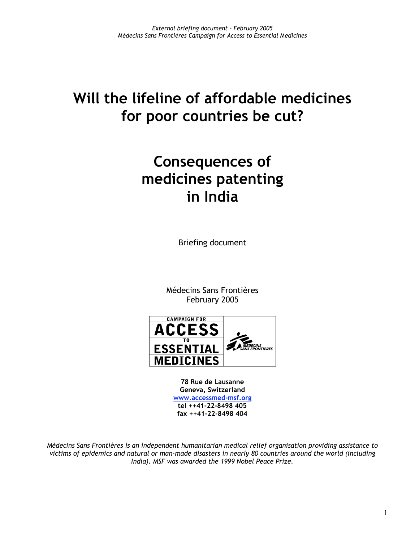# **Will the lifeline of affordable medicines for poor countries be cut?**

# **Consequences of medicines patenting in India**

Briefing document

Médecins Sans Frontières February 2005



**78 Rue de Lausanne Geneva, Switzerland www.accessmed-msf.org tel ++41-22-8498 405 fax ++41-22-8498 404**

*Médecins Sans Frontières is an independent humanitarian medical relief organisation providing assistance to victims of epidemics and natural or man-made disasters in nearly 80 countries around the world (including India). MSF was awarded the 1999 Nobel Peace Prize.*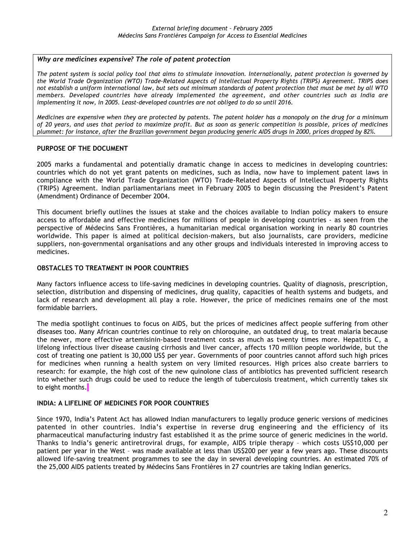#### *Why are medicines expensive? The role of patent protection*

*The patent system is social policy tool that aims to stimulate innovation. Internationally, patent protection is governed by the World Trade Organization (WTO) Trade-Related Aspects of Intellectual Property Rights (TRIPS) Agreement. TRIPS does not establish a uniform international law, but sets out minimum standards of patent protection that must be met by all WTO members. Developed countries have already implemented the agreement, and other countries such as India are implementing it now, in 2005. Least-developed countries are not obliged to do so until 2016.*

*Medicines are expensive when they are protected by patents. The patent holder has a monopoly on the drug for a minimum of 20 years, and uses that period to maximize profit. But as soon as generic competition is possible, prices of medicines plummet: for instance, after the Brazilian government began producing generic AIDS drugs in 2000, prices dropped by 82%.*

### **PURPOSE OF THE DOCUMENT**

2005 marks a fundamental and potentially dramatic change in access to medicines in developing countries: countries which do not yet grant patents on medicines, such as India, now have to implement patent laws in compliance with the World Trade Organization (WTO) Trade-Related Aspects of Intellectual Property Rights (TRIPS) Agreement. Indian parliamentarians meet in February 2005 to begin discussing the President's Patent (Amendment) Ordinance of December 2004.

This document briefly outlines the issues at stake and the choices available to Indian policy makers to ensure access to affordable and effective medicines for millions of people in developing countries - as seen from the perspective of Médecins Sans Frontières, a humanitarian medical organisation working in nearly 80 countries worldwide. This paper is aimed at political decision-makers, but also journalists, care providers, medicine suppliers, non-governmental organisations and any other groups and individuals interested in improving access to medicines.

#### **OBSTACLES TO TREATMENT IN POOR COUNTRIES**

Many factors influence access to life-saving medicines in developing countries. Quality of diagnosis, prescription, selection, distribution and dispensing of medicines, drug quality, capacities of health systems and budgets, and lack of research and development all play a role. However, the price of medicines remains one of the most formidable barriers.

The media spotlight continues to focus on AIDS, but the prices of medicines affect people suffering from other diseases too. Many African countries continue to rely on chloroquine, an outdated drug, to treat malaria because the newer, more effective artemisinin-based treatment costs as much as twenty times more. Hepatitis C, a lifelong infectious liver disease causing cirrhosis and liver cancer, affects 170 million people worldwide, but the cost of treating one patient is 30,000 US\$ per year. Governments of poor countries cannot afford such high prices for medicines when running a health system on very limited resources. High prices also create barriers to research: for example, the high cost of the new quinolone class of antibiotics has prevented sufficient research into whether such drugs could be used to reduce the length of tuberculosis treatment, which currently takes six to eight months.

# **INDIA: A LIFELINE OF MEDICINES FOR POOR COUNTRIES**

Since 1970, India's Patent Act has allowed Indian manufacturers to legally produce generic versions of medicines patented in other countries. India's expertise in reverse drug engineering and the efficiency of its pharmaceutical manufacturing industry fast established it as the prime source of generic medicines in the world. Thanks to India's generic antiretroviral drugs, for example, AIDS triple therapy – which costs US\$10,000 per patient per year in the West – was made available at less than US\$200 per year a few years ago. These discounts allowed life-saving treatment programmes to see the day in several developing countries. An estimated 70% of the 25,000 AIDS patients treated by Médecins Sans Frontières in 27 countries are taking Indian generics.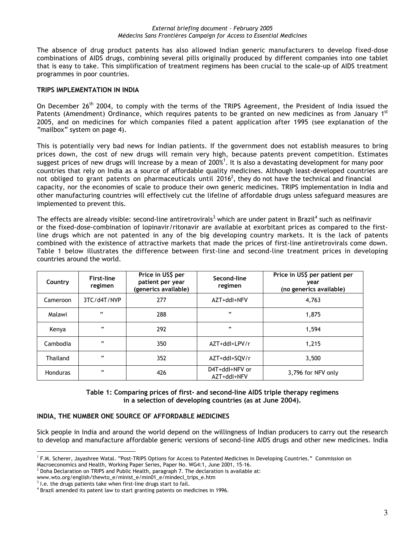The absence of drug product patents has also allowed Indian generic manufacturers to develop fixed-dose combinations of AIDS drugs, combining several pills originally produced by different companies into one tablet that is easy to take. This simplification of treatment regimens has been crucial to the scale-up of AIDS treatment programmes in poor countries.

# **TRIPS IMPLEMENTATION IN INDIA**

On December 26<sup>th</sup> 2004, to comply with the terms of the TRIPS Agreement, the President of India issued the Patents (Amendment) Ordinance, which requires patents to be granted on new medicines as from January 1st 2005, and on medicines for which companies filed a patent application after 1995 (see explanation of the "mailbox" system on page 4).

This is potentially very bad news for Indian patients. If the government does not establish measures to bring prices down, the cost of new drugs will remain very high, because patents prevent competition. Estimates suggest prices of new drugs will increase by a mean of 200%<sup>1</sup>. It is also a devastating development for many poor countries that rely on India as a source of affordable quality medicines. Although least-developed countries are not obliged to grant patents on pharmaceuticals until 2016<sup>2</sup>, they do not have the technical and financial capacity, nor the economies of scale to produce their own generic medicines. TRIPS implementation in India and other manufacturing countries will effectively cut the lifeline of affordable drugs unless safeguard measures are implemented to prevent this.

The effects are already visible: second-line antiretrovirals<sup>3</sup> which are under patent in Brazil<sup>4</sup> such as nelfinavir or the fixed-dose-combination of lopinavir/ritonavir are available at exorbitant prices as compared to the firstline drugs which are not patented in any of the big developing country markets. It is the lack of patents combined with the existence of attractive markets that made the prices of first-line antiretrovirals come down. Table 1 below illustrates the difference between first-line and second-line treatment prices in developing countries around the world.

| Country         | <b>First-line</b><br>regimen | Price in US\$ per<br>patient per year<br>(generics available) | Second-line<br>regimen        | Price in US\$ per patient per<br>vear<br>(no generics available) |
|-----------------|------------------------------|---------------------------------------------------------------|-------------------------------|------------------------------------------------------------------|
| Cameroon        | 3TC/d4T/NVP                  | 277                                                           | AZT+ddl+NFV                   | 4.763                                                            |
| Malawi          | æ                            | 288                                                           | ee.                           | 1.875                                                            |
| Kenya           | $\ddot{\phantom{0}}$         | 292                                                           | ee.                           | 1.594                                                            |
| Cambodia        | ee                           | 350                                                           | AZT+ddl+LPV/r                 | 1.215                                                            |
| Thailand        | ee                           | 352                                                           | AZT+ddl+SQV/r                 | 3,500                                                            |
| <b>Honduras</b> | ee                           | 426                                                           | D4T+ddl+NFV or<br>AZT+ddl+NFV | 3,796 for NFV only                                               |

**Table 1: Comparing prices of first- and second-line AIDS triple therapy regimens in a selection of developing countries (as at June 2004).**

# **INDIA, THE NUMBER ONE SOURCE OF AFFORDABLE MEDICINES**

Sick people in India and around the world depend on the willingness of Indian producers to carry out the research to develop and manufacture affordable generic versions of second-line AIDS drugs and other new medicines. India

 $\frac{1}{1}$ <sup>1</sup> F.M. Scherer, Jayashree Watal. "Post-TRIPS Options for Access to Patented Medicines in Developing Countries." Commission on Macroeconomics and Health, Working Paper Series, Paper No. WG4:1, June 2001, 15-16.

 $^2$  Doha Declaration on TRIPS and Public Health, paragraph 7. The declaration is available at:

www.wto.org/english/thewto\_e/minist\_e/min01\_e/mindecl\_trips\_e.htm

 $3$  l.e. the drugs patients take when first-line drugs start to fail.

<sup>&</sup>lt;sup>4</sup> Brazil amended its patent law to start granting patents on medicines in 1996.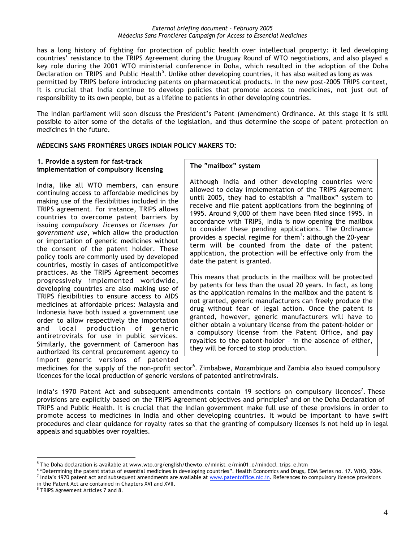has a long history of fighting for protection of public health over intellectual property: it led developing countries' resistance to the TRIPS Agreement during the Uruguay Round of WTO negotiations, and also played a key role during the 2001 WTO ministerial conference in Doha, which resulted in the adoption of the Doha Declaration on TRIPS and Public Health<sup>5</sup>. Unlike other developing countries, it has also waited as long as was permitted by TRIPS before introducing patents on pharmaceutical products. In the new post-2005 TRIPS context, it is crucial that India continue to develop policies that promote access to medicines, not just out of responsibility to its own people, but as a lifeline to patients in other developing countries.

The Indian parliament will soon discuss the President's Patent (Amendment) Ordinance. At this stage it is still possible to alter some of the details of the legislation, and thus determine the scope of patent protection on medicines in the future.

# **MÉDECINS SANS FRONTIÈRES URGES INDIAN POLICY MAKERS TO:**

#### **1. Provide a system for fast-track implementation of compulsory licensing**

India, like all WTO members, can ensure continuing access to affordable medicines by making use of the flexibilities included in the TRIPS agreement. For instance, TRIPS allows countries to overcome patent barriers by issuing *compulsory licenses* or *licenses for government use*, which allow the production or importation of generic medicines without the consent of the patent holder. These policy tools are commonly used by developed countries, mostly in cases of anticompetitive practices. As the TRIPS Agreement becomes progressively implemented worldwide, developing countries are also making use of TRIPS flexibilities to ensure access to AIDS medicines at affordable prices: Malaysia and Indonesia have both issued a government use order to allow respectively the importation and local production of generic antiretrovirals for use in public services. Similarly, the government of Cameroon has authorized its central procurement agency to import generic versions of patented

# **The "mailbox" system**

Although India and other developing countries were allowed to delay implementation of the TRIPS Agreement until 2005, they had to establish a "mailbox" system to receive and file patent applications from the beginning of 1995. Around 9,000 of them have been filed since 1995. In accordance with TRIPS, India is now opening the mailbox to consider these pending applications. The Ordinance provides a special regime for them<sup>1</sup>: although the 20-year term will be counted from the date of the patent application, the protection will be effective only from the date the patent is granted.

This means that products in the mailbox will be protected by patents for less than the usual 20 years. In fact, as long as the application remains in the mailbox and the patent is not granted, generic manufacturers can freely produce the drug without fear of legal action. Once the patent is granted, however, generic manufacturers will have to either obtain a voluntary license from the patent-holder or a compulsory license from the Patent Office, and pay royalties to the patent-holder – in the absence of either, they will be forced to stop production.

medicines for the supply of the non-profit sector<sup>6</sup>. Zimbabwe, Mozambique and Zambia also issued compulsory licences for the local production of generic versions of patented antiretrovirals.

India's 1970 Patent Act and subsequent amendments contain 19 sections on compulsory licences<sup>7</sup>. These provisions are explicitly based on the TRIPS Agreement objectives and principles<sup>8</sup> and on the Doha Declaration of TRIPS and Public Health. It is crucial that the Indian government make full use of these provisions in order to promote access to medicines in India and other developing countries. It would be important to have swift procedures and clear quidance for royalty rates so that the granting of compulsory licenses is not held up in legal appeals and squabbles over royalties.

<sup>-&</sup>lt;br>5  $5$  The Doha declaration is available at www.wto.org/english/thewto e/minist e/min01 e/mindecl\_trips\_e.htm

<sup>&</sup>lt;sup>6</sup> "Determining the patent status of essential medicines in developing countries". Health Economics and Drugs, EDM Series no. 17. WHO, 2004.<br><sup>7</sup> India's 1970 patent ast and subsequent amondments are available at www.paten <sup>7</sup> India's 1970 patent act and subsequent amendments are available at www.patentoffice.nic.in. References to compulsory licence provisions

in the Patent Act are contained in Chapters XVI and XVII.

<sup>&</sup>lt;sup>8</sup> TRIPS Agreement Articles 7 and 8.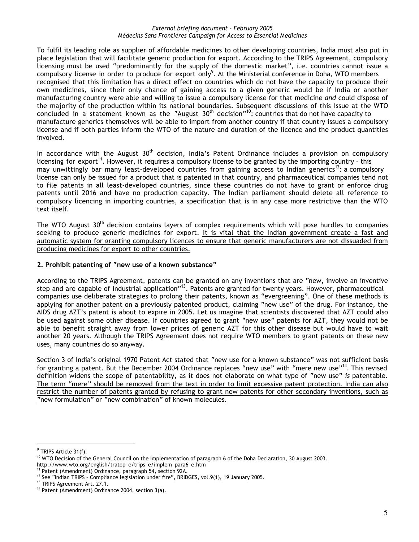To fulfil its leading role as supplier of affordable medicines to other developing countries, India must also put in place legislation that will facilitate generic production for export. According to the TRIPS Agreement, compulsory licensing must be used "predominantly for the supply of the domestic market", i.e. countries cannot issue a compulsory license in order to produce for export only<sup>9</sup>. At the Ministerial conference in Doha, WTO members recognised that this limitation has a direct effect on countries which do not have the capacity to produce their own medicines, since their only chance of gaining access to a given generic would be if India or another manufacturing country were able and willing to issue a compulsory license for that medicine *and* could dispose of the majority of the production within its national boundaries. Subsequent discussions of this issue at the WTO concluded in a statement known as the "August 30<sup>th</sup> decision"<sup>10</sup>: countries that do not have capacity to manufacture generics themselves will be able to import from another country if that country issues a compulsory license and if both parties inform the WTO of the nature and duration of the licence and the product quantities involved.

In accordance with the August  $30<sup>th</sup>$  decision, India's Patent Ordinance includes a provision on compulsory licensing for export<sup>11</sup>. However, it requires a compulsory license to be granted by the importing country - this may unwittingly bar many least-developed countries from gaining access to Indian generics<sup>12</sup>: a compulsory license can only be issued for a product that is patented in that country, and pharmaceutical companies tend not to file patents in all least-developed countries, since these countries do not have to grant or enforce drug patents until 2016 and have no production capacity. The Indian parliament should delete all reference to compulsory licencing in importing countries, a specification that is in any case more restrictive than the WTO text itself.

The WTO August 30<sup>th</sup> decision contains layers of complex requirements which will pose hurdles to companies seeking to produce generic medicines for export. It is vital that the Indian government create a fast and automatic system for granting compulsory licences to ensure that generic manufacturers are not dissuaded from producing medicines for export to other countries.

### **2. Prohibit patenting of "new use of a known substance"**

According to the TRIPS Agreement, patents can be granted on any inventions that are "new, involve an inventive step and are capable of industrial application"<sup>13</sup>. Patents are granted for twenty years. However, pharmaceutical companies use deliberate strategies to prolong their patents, known as "evergreening". One of these methods is applying for another patent on a previously patented product, claiming "new use" of the drug. For instance, the AIDS drug AZT's patent is about to expire in 2005. Let us imagine that scientists discovered that AZT could also be used against some other disease. If countries agreed to grant "new use" patents for AZT, they would not be able to benefit straight away from lower prices of generic AZT for this other disease but would have to wait another 20 years. Although the TRIPS Agreement does not require WTO members to grant patents on these new uses, many countries do so anyway.

Section 3 of India's original 1970 Patent Act stated that "new use for a known substance" was not sufficient basis for granting a patent. But the December 2004 Ordinance replaces "new use" with "mere new use"<sup>14</sup>. This revised definition widens the scope of patentability, as it does not elaborate on what type of "new use" *is* patentable. The term "mere" should be removed from the text in order to limit excessive patent protection. India can also restrict the number of patents granted by refusing to grant new patents for other secondary inventions, such as "new formulation" or "new combination" of known molecules.

 $9$  TRIPS Article 31(f).

<sup>&</sup>lt;sup>10</sup> WTO Decision of the General Council on the Implementation of paragraph 6 of the Doha Declaration, 30 August 2003.

http://www.wto.org/english/tratop\_e/trips\_e/implem\_para6\_e.htm

<sup>&</sup>lt;sup>11</sup> Patent (Amendment) Ordinance, paragraph 54, section 92A.  $12$  See "Indian TRIPS - Compliance legislation under fire", BRIDGES, vol.9(1), 19 January 2005.

<sup>&</sup>lt;sup>13</sup> TRIPS Agreement Art. 27.1.

<sup>&</sup>lt;sup>14</sup> Patent (Amendment) Ordinance 2004, section 3(a).